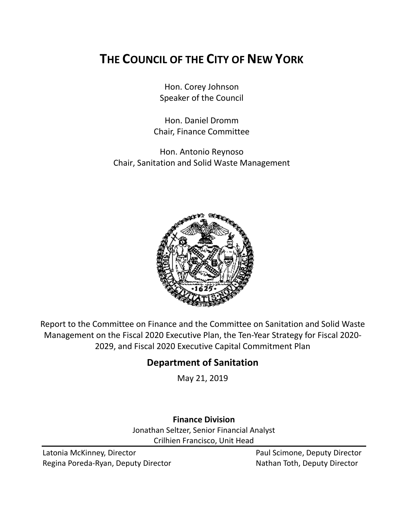# **THE COUNCIL OF THE CITY OF NEW YORK**

Hon. Corey Johnson Speaker of the Council

Hon. Daniel Dromm Chair, Finance Committee

Hon. Antonio Reynoso Chair, Sanitation and Solid Waste Management



Report to the Committee on Finance and the Committee on Sanitation and Solid Waste Management on the Fiscal 2020 Executive Plan, the Ten-Year Strategy for Fiscal 2020- 2029, and Fiscal 2020 Executive Capital Commitment Plan

## **Department of Sanitation**

May 21, 2019

## **Finance Division**

Jonathan Seltzer, Senior Financial Analyst Crilhien Francisco, Unit Head

Latonia McKinney, Director **Paul Scimone, Deputy Director** Paul Scimone, Deputy Director Regina Poreda-Ryan, Deputy Director Nathan Toth, Deputy Director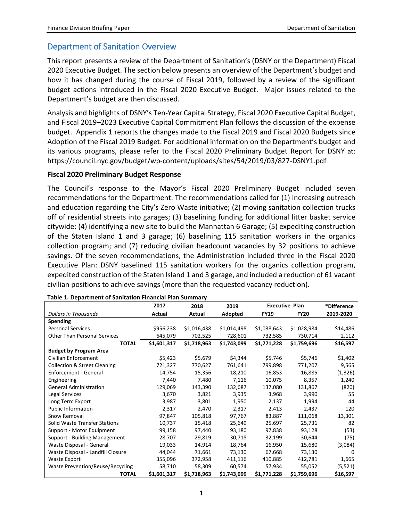## Department of Sanitation Overview

This report presents a review of the Department of Sanitation's (DSNY or the Department) Fiscal 2020 Executive Budget. The section below presents an overview of the Department's budget and how it has changed during the course of Fiscal 2019, followed by a review of the significant budget actions introduced in the Fiscal 2020 Executive Budget. Major issues related to the Department's budget are then discussed.

Analysis and highlights of DSNY's Ten-Year Capital Strategy, Fiscal 2020 Executive Capital Budget, and Fiscal 2019–2023 Executive Capital Commitment Plan follows the discussion of the expense budget. Appendix 1 reports the changes made to the Fiscal 2019 and Fiscal 2020 Budgets since Adoption of the Fiscal 2019 Budget. For additional information on the Department's budget and its various programs, please refer to the Fiscal 2020 Preliminary Budget Report for DSNY at: https://council.nyc.gov/budget/wp-content/uploads/sites/54/2019/03/827-DSNY1.pdf

### **Fiscal 2020 Preliminary Budget Response**

The Council's response to the Mayor's Fiscal 2020 Preliminary Budget included seven recommendations for the Department. The recommendations called for (1) increasing outreach and education regarding the City's Zero Waste initiative; (2) moving sanitation collection trucks off of residential streets into garages; (3) baselining funding for additional litter basket service citywide; (4) identifying a new site to build the Manhattan 6 Garage; (5) expediting construction of the Staten Island 1 and 3 garage; (6) baselining 115 sanitation workers in the organics collection program; and (7) reducing civilian headcount vacancies by 32 positions to achieve savings. Of the seven recommendations, the Administration included three in the Fiscal 2020 Executive Plan: DSNY baselined 115 sanitation workers for the organics collection program, expedited construction of the Staten Island 1 and 3 garage, and included a reduction of 61 vacant civilian positions to achieve savings (more than the requested vacancy reduction).

|                                         | 2017        | 2018        | 2019        | <b>Executive Plan</b> |             | *Difference  |
|-----------------------------------------|-------------|-------------|-------------|-----------------------|-------------|--------------|
| <b>Dollars in Thousands</b>             | Actual      | Actual      | Adopted     | <b>FY19</b>           | <b>FY20</b> | 2019-2020    |
| Spending                                |             |             |             |                       |             |              |
| <b>Personal Services</b>                | \$956,238   | \$1,016,438 | \$1,014,498 | \$1,038,643           | \$1,028,984 | \$14,486     |
| <b>Other Than Personal Services</b>     | 645,079     | 702,525     | 728,601     | 732,585               | 730,714     | 2,112        |
| <b>TOTAL</b>                            | \$1,601,317 | \$1,718,963 | \$1,743,099 | \$1,771,228           | \$1,759,696 | \$16,597     |
| <b>Budget by Program Area</b>           |             |             |             |                       |             |              |
| Civilian Enforcement                    | \$5,423     | \$5,679     | \$4,344     | \$5,746               | \$5,746     | \$1,402      |
| <b>Collection &amp; Street Cleaning</b> | 721,327     | 770,627     | 761,641     | 799,898               | 771,207     | 9,565        |
| Enforcement - General                   | 14,754      | 15,356      | 18,210      | 16,853                | 16,885      | (1, 326)     |
| Engineering                             | 7,440       | 7,480       | 7,116       | 10,075                | 8,357       | 1,240        |
| <b>General Administration</b>           | 129,069     | 143,390     | 132,687     | 137,080               | 131,867     | (820)        |
| Legal Services                          | 3,670       | 3,821       | 3,935       | 3,968                 | 3,990       | 55           |
| Long Term Export                        | 3,987       | 3,801       | 1,950       | 2,137                 | 1,994       | 44           |
| <b>Public Information</b>               | 2,317       | 2,470       | 2,317       | 2,413                 | 2,437       | 120          |
| Snow Removal                            | 97,847      | 105,818     | 97,767      | 83,887                | 111,068     | 13,301       |
| <b>Solid Waste Transfer Stations</b>    | 10,737      | 15,418      | 25,649      | 25,697                | 25,731      | 82           |
| Support - Motor Equipment               | 99,158      | 97,440      | 93,180      | 97,838                | 93,128      | (53)         |
| Support - Building Management           | 28,707      | 29,819      | 30,718      | 32,199                | 30,644      | (75)         |
| Waste Disposal - General                | 19,033      | 14,914      | 18,764      | 16,950                | 15,680      | (3,084)      |
| Waste Disposal - Landfill Closure       | 44,044      | 71,661      | 73,130      | 67,668                | 73,130      | <sup>0</sup> |
| Waste Export                            | 355,096     | 372,958     | 411,116     | 410,885               | 412,781     | 1,665        |
| <b>Waste Prevention/Reuse/Recycling</b> | 58,710      | 58,309      | 60,574      | 57,934                | 55,052      | (5,521)      |
| <b>TOTAL</b>                            | \$1,601,317 | \$1,718,963 | \$1,743,099 | \$1,771,228           | \$1,759,696 | \$16,597     |

#### **Table 1. Department of Sanitation Financial Plan Summary**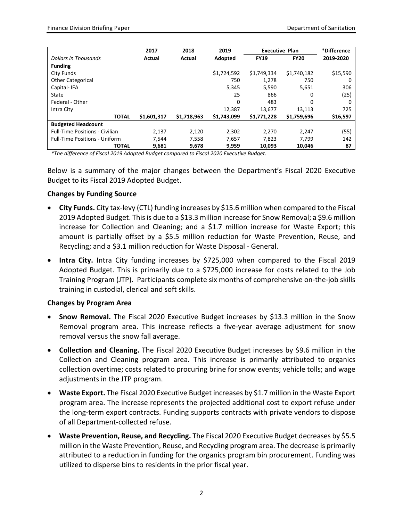|                                       | 2017        | 2018        | 2019        | <b>Executive Plan</b> |             | *Difference |
|---------------------------------------|-------------|-------------|-------------|-----------------------|-------------|-------------|
| <b>Dollars in Thousands</b>           | Actual      | Actual      | Adopted     | <b>FY19</b>           | <b>FY20</b> | 2019-2020   |
| <b>Funding</b>                        |             |             |             |                       |             |             |
| City Funds                            |             |             | \$1,724,592 | \$1,749,334           | \$1,740.182 | \$15,590    |
| <b>Other Categorical</b>              |             |             | 750         | 1,278                 | 750         | O           |
| Capital-IFA                           |             |             | 5,345       | 5,590                 | 5,651       | 306         |
| State                                 |             |             | 25          | 866                   | 0           | (25)        |
| Federal - Other                       |             |             | 0           | 483                   | 0           |             |
| Intra City                            |             |             | 12.387      | 13.677                | 13.113      | 725         |
| <b>TOTAL</b>                          | \$1,601,317 | \$1,718,963 | \$1,743,099 | \$1,771,228           | \$1,759,696 | \$16,597    |
| <b>Budgeted Headcount</b>             |             |             |             |                       |             |             |
| <b>Full-Time Positions - Civilian</b> | 2.137       | 2,120       | 2,302       | 2.270                 | 2.247       | (55)        |
| <b>Full-Time Positions - Uniform</b>  | 7,544       | 7,558       | 7,657       | 7,823                 | 7,799       | 142         |
| <b>TOTAL</b>                          | 9,681       | 9,678       | 9,959       | 10,093                | 10,046      | 87          |

*\*The difference of Fiscal 2019 Adopted Budget compared to Fiscal 2020 Executive Budget.*

Below is a summary of the major changes between the Department's Fiscal 2020 Executive Budget to its Fiscal 2019 Adopted Budget.

### **Changes by Funding Source**

- **City Funds.** City tax-levy (CTL) funding increases by \$15.6 million when compared to the Fiscal 2019 Adopted Budget. This is due to a \$13.3 million increase for Snow Removal; a \$9.6 million increase for Collection and Cleaning; and a \$1.7 million increase for Waste Export; this amount is partially offset by a \$5.5 million reduction for Waste Prevention, Reuse, and Recycling; and a \$3.1 million reduction for Waste Disposal - General.
- **Intra City.** Intra City funding increases by \$725,000 when compared to the Fiscal 2019 Adopted Budget. This is primarily due to a \$725,000 increase for costs related to the Job Training Program (JTP). Participants complete six months of comprehensive on-the-job skills training in custodial, clerical and soft skills.

### **Changes by Program Area**

- **Snow Removal.** The Fiscal 2020 Executive Budget increases by \$13.3 million in the Snow Removal program area. This increase reflects a five-year average adjustment for snow removal versus the snow fall average.
- **Collection and Cleaning.** The Fiscal 2020 Executive Budget increases by \$9.6 million in the Collection and Cleaning program area. This increase is primarily attributed to organics collection overtime; costs related to procuring brine for snow events; vehicle tolls; and wage adjustments in the JTP program.
- **Waste Export.** The Fiscal 2020 Executive Budget increases by \$1.7 million in the Waste Export program area. The increase represents the projected additional cost to export refuse under the long-term export contracts. Funding supports contracts with private vendors to dispose of all Department-collected refuse.
- **Waste Prevention, Reuse, and Recycling.** The Fiscal 2020 Executive Budget decreases by \$5.5 million in the Waste Prevention, Reuse, and Recycling program area. The decrease is primarily attributed to a reduction in funding for the organics program bin procurement. Funding was utilized to disperse bins to residents in the prior fiscal year.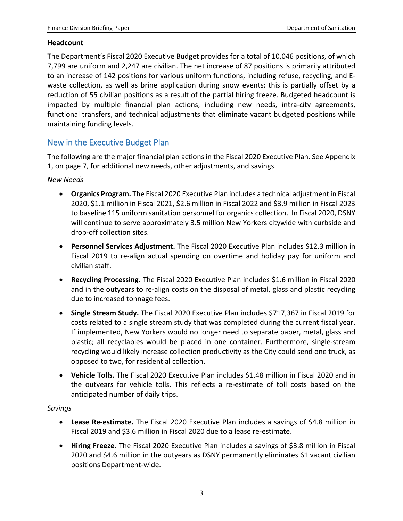#### **Headcount**

The Department's Fiscal 2020 Executive Budget provides for a total of 10,046 positions, of which 7,799 are uniform and 2,247 are civilian. The net increase of 87 positions is primarily attributed to an increase of 142 positions for various uniform functions, including refuse, recycling, and Ewaste collection, as well as brine application during snow events; this is partially offset by a reduction of 55 civilian positions as a result of the partial hiring freeze. Budgeted headcount is impacted by multiple financial plan actions, including new needs, intra-city agreements, functional transfers, and technical adjustments that eliminate vacant budgeted positions while maintaining funding levels.

## New in the Executive Budget Plan

The following are the major financial plan actions in the Fiscal 2020 Executive Plan. See Appendix 1, on page 7, for additional new needs, other adjustments, and savings.

*New Needs*

- **Organics Program.** The Fiscal 2020 Executive Plan includes a technical adjustment in Fiscal 2020, \$1.1 million in Fiscal 2021, \$2.6 million in Fiscal 2022 and \$3.9 million in Fiscal 2023 to baseline 115 uniform sanitation personnel for organics collection. In Fiscal 2020, DSNY will continue to serve approximately 3.5 million New Yorkers citywide with curbside and drop-off collection sites.
- **Personnel Services Adjustment.** The Fiscal 2020 Executive Plan includes \$12.3 million in Fiscal 2019 to re-align actual spending on overtime and holiday pay for uniform and civilian staff.
- **Recycling Processing.** The Fiscal 2020 Executive Plan includes \$1.6 million in Fiscal 2020 and in the outyears to re-align costs on the disposal of metal, glass and plastic recycling due to increased tonnage fees.
- **Single Stream Study.** The Fiscal 2020 Executive Plan includes \$717,367 in Fiscal 2019 for costs related to a single stream study that was completed during the current fiscal year. If implemented, New Yorkers would no longer need to separate paper, metal, glass and plastic; all recyclables would be placed in one container. Furthermore, single-stream recycling would likely increase collection productivity as the City could send one truck, as opposed to two, for residential collection.
- **Vehicle Tolls.** The Fiscal 2020 Executive Plan includes \$1.48 million in Fiscal 2020 and in the outyears for vehicle tolls. This reflects a re-estimate of toll costs based on the anticipated number of daily trips.

### *Savings*

- **Lease Re-estimate.** The Fiscal 2020 Executive Plan includes a savings of \$4.8 million in Fiscal 2019 and \$3.6 million in Fiscal 2020 due to a lease re-estimate.
- **Hiring Freeze.** The Fiscal 2020 Executive Plan includes a savings of \$3.8 million in Fiscal 2020 and \$4.6 million in the outyears as DSNY permanently eliminates 61 vacant civilian positions Department-wide.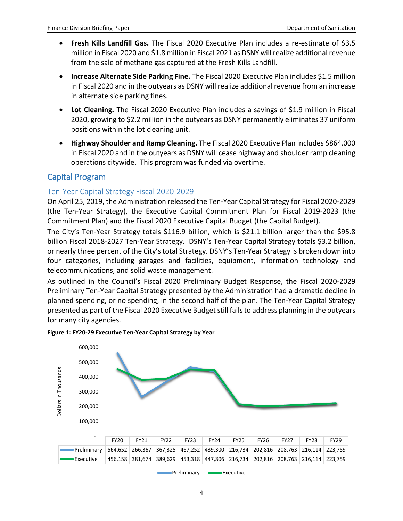- **Fresh Kills Landfill Gas.** The Fiscal 2020 Executive Plan includes a re-estimate of \$3.5 million in Fiscal 2020 and \$1.8 million in Fiscal 2021 as DSNY will realize additional revenue from the sale of methane gas captured at the Fresh Kills Landfill.
- **Increase Alternate Side Parking Fine.** The Fiscal 2020 Executive Plan includes \$1.5 million in Fiscal 2020 and in the outyears as DSNY will realize additional revenue from an increase in alternate side parking fines.
- **Lot Cleaning.** The Fiscal 2020 Executive Plan includes a savings of \$1.9 million in Fiscal 2020, growing to \$2.2 million in the outyears as DSNY permanently eliminates 37 uniform positions within the lot cleaning unit.
- **Highway Shoulder and Ramp Cleaning.** The Fiscal 2020 Executive Plan includes \$864,000 in Fiscal 2020 and in the outyears as DSNY will cease highway and shoulder ramp cleaning operations citywide. This program was funded via overtime.

## Capital Program

## Ten-Year Capital Strategy Fiscal 2020-2029

On April 25, 2019, the Administration released the Ten-Year Capital Strategy for Fiscal 2020-2029 (the Ten-Year Strategy), the Executive Capital Commitment Plan for Fiscal 2019-2023 (the Commitment Plan) and the Fiscal 2020 Executive Capital Budget (the Capital Budget).

The City's Ten-Year Strategy totals \$116.9 billion, which is \$21.1 billion larger than the \$95.8 billion Fiscal 2018-2027 Ten-Year Strategy. DSNY's Ten-Year Capital Strategy totals \$3.2 billion, or nearly three percent of the City's total Strategy. DSNY's Ten-Year Strategy is broken down into four categories, including garages and facilities, equipment, information technology and telecommunications, and solid waste management.

As outlined in the Council's Fiscal 2020 Preliminary Budget Response, the Fiscal 2020-2029 Preliminary Ten-Year Capital Strategy presented by the Administration had a dramatic decline in planned spending, or no spending, in the second half of the plan. The Ten-Year Capital Strategy presented as part of the Fiscal 2020 Executive Budget still fails to address planning in the outyears for many city agencies.



**Figure 1: FY20-29 Executive Ten-Year Capital Strategy by Year**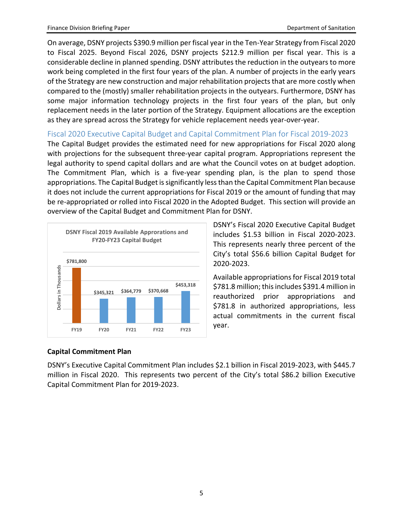On average, DSNY projects \$390.9 million per fiscal year in the Ten-Year Strategy from Fiscal 2020 to Fiscal 2025. Beyond Fiscal 2026, DSNY projects \$212.9 million per fiscal year. This is a considerable decline in planned spending. DSNY attributes the reduction in the outyears to more work being completed in the first four years of the plan. A number of projects in the early years of the Strategy are new construction and major rehabilitation projects that are more costly when compared to the (mostly) smaller rehabilitation projects in the outyears. Furthermore, DSNY has some major information technology projects in the first four years of the plan, but only replacement needs in the later portion of the Strategy. Equipment allocations are the exception as they are spread across the Strategy for vehicle replacement needs year-over-year.

Fiscal 2020 Executive Capital Budget and Capital Commitment Plan for Fiscal 2019-2023

The Capital Budget provides the estimated need for new appropriations for Fiscal 2020 along with projections for the subsequent three-year capital program. Appropriations represent the legal authority to spend capital dollars and are what the Council votes on at budget adoption. The Commitment Plan, which is a five-year spending plan, is the plan to spend those appropriations. The Capital Budget is significantly less than the Capital Commitment Plan because it does not include the current appropriations for Fiscal 2019 or the amount of funding that may be re-appropriated or rolled into Fiscal 2020 in the Adopted Budget. This section will provide an overview of the Capital Budget and Commitment Plan for DSNY.



DSNY's Fiscal 2020 Executive Capital Budget includes \$1.53 billion in Fiscal 2020-2023. This represents nearly three percent of the City's total \$56.6 billion Capital Budget for 2020-2023.

Available appropriations for Fiscal 2019 total \$781.8 million; this includes \$391.4 million in reauthorized prior appropriations and \$781.8 in authorized appropriations, less actual commitments in the current fiscal year.

## **Capital Commitment Plan**

DSNY's Executive Capital Commitment Plan includes \$2.1 billion in Fiscal 2019-2023, with \$445.7 million in Fiscal 2020. This represents two percent of the City's total \$86.2 billion Executive Capital Commitment Plan for 2019-2023.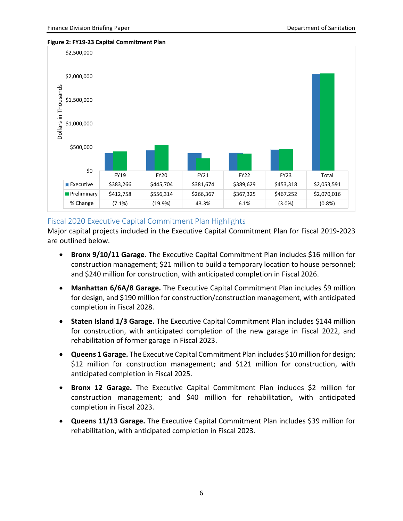



## Fiscal 2020 Executive Capital Commitment Plan Highlights

Major capital projects included in the Executive Capital Commitment Plan for Fiscal 2019-2023 are outlined below.

- **Bronx 9/10/11 Garage.** The Executive Capital Commitment Plan includes \$16 million for construction management; \$21 million to build a temporary location to house personnel; and \$240 million for construction, with anticipated completion in Fiscal 2026.
- **Manhattan 6/6A/8 Garage.** The Executive Capital Commitment Plan includes \$9 million for design, and \$190 million for construction/construction management, with anticipated completion in Fiscal 2028.
- **Staten Island 1/3 Garage.** The Executive Capital Commitment Plan includes \$144 million for construction, with anticipated completion of the new garage in Fiscal 2022, and rehabilitation of former garage in Fiscal 2023.
- **Queens 1 Garage.** The Executive Capital Commitment Plan includes \$10 million for design; \$12 million for construction management; and \$121 million for construction, with anticipated completion in Fiscal 2025.
- **Bronx 12 Garage.** The Executive Capital Commitment Plan includes \$2 million for construction management; and \$40 million for rehabilitation, with anticipated completion in Fiscal 2023.
- **Queens 11/13 Garage.** The Executive Capital Commitment Plan includes \$39 million for rehabilitation, with anticipated completion in Fiscal 2023.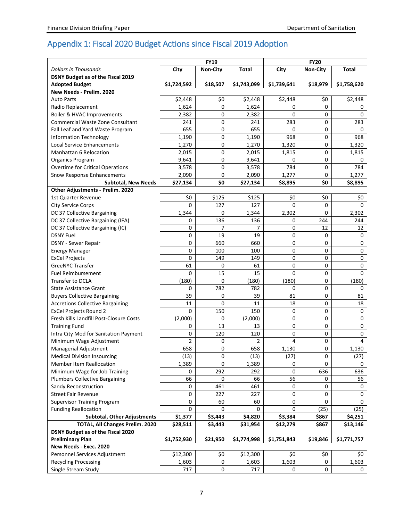## Appendix 1: Fiscal 2020 Budget Actions since Fiscal 2019 Adoption

|                                         |                | <b>FY19</b>     |                | <b>FY20</b>    |                 |              |  |
|-----------------------------------------|----------------|-----------------|----------------|----------------|-----------------|--------------|--|
| <b>Dollars in Thousands</b>             | City           | <b>Non-City</b> | <b>Total</b>   | City           | <b>Non-City</b> | <b>Total</b> |  |
| DSNY Budget as of the Fiscal 2019       |                |                 |                |                |                 |              |  |
| <b>Adopted Budget</b>                   | \$1,724,592    | \$18,507        | \$1,743,099    | \$1,739,641    | \$18,979        | \$1,758,620  |  |
| New Needs - Prelim. 2020                |                |                 |                |                |                 |              |  |
| <b>Auto Parts</b>                       | \$2,448        | \$0             | \$2,448        | \$2,448        | \$0             | \$2,448      |  |
| Radio Replacement                       | 1,624          | 0               | 1,624          | 0              | $\Omega$        | 0            |  |
| Boiler & HVAC Improvements              | 2,382          | 0               | 2,382          | 0              | 0               | 0            |  |
| <b>Commercial Waste Zone Consultant</b> | 241            | 0               | 241            | 283            | $\Omega$        | 283          |  |
| Fall Leaf and Yard Waste Program        | 655            | 0               | 655            | 0              | 0               | 0            |  |
| <b>Information Technology</b>           | 1,190          | $\mathbf 0$     | 1,190          | 968            | $\Omega$        | 968          |  |
| <b>Local Service Enhancements</b>       | 1,270          | 0               | 1,270          | 1,320          | 0               | 1,320        |  |
| <b>Manhattan 6 Relocation</b>           | 2,015          | 0               | 2,015          | 1,815          | 0               | 1,815        |  |
| Organics Program                        | 9,641          | 0               | 9,641          | 0              | $\Omega$        | 0            |  |
| <b>Overtime for Critical Operations</b> | 3,578          | 0               | 3,578          | 784            | 0               | 784          |  |
| Snow Response Enhancements              | 2,090          | 0               | 2,090          | 1,277          | 0               | 1,277        |  |
| <b>Subtotal, New Needs</b>              | \$27,134       | \$0             | \$27,134       | \$8,895        | \$0             | \$8,895      |  |
| Other Adjustments - Prelim. 2020        |                |                 |                |                |                 |              |  |
| <b>1st Quarter Revenue</b>              | \$0            | \$125           | \$125          | \$0            | \$0             | \$0          |  |
| <b>City Service Corps</b>               | 0              | 127             | 127            | $\Omega$       | 0               | 0            |  |
| DC 37 Collective Bargaining             | 1,344          | 0               | 1,344          | 2,302          | $\Omega$        | 2,302        |  |
| DC 37 Collective Bargaining (IFA)       | 0              | 136             | 136            | 0              | 244             | 244          |  |
| DC 37 Collective Bargaining (IC)        | 0              | 7               | 7              | 0              | 12              | 12           |  |
| <b>DSNY Fuel</b>                        | 0              | 19              | 19             | 0              | $\Omega$        | 0            |  |
| <b>DSNY</b> - Sewer Repair              | 0              | 660             | 660            | 0              | 0               | 0            |  |
| <b>Energy Manager</b>                   | 0              | 100             | 100            | 0              | $\Omega$        | 0            |  |
| <b>ExCel Projects</b>                   | 0              | 149             | 149            | 0              | 0               | $\pmb{0}$    |  |
| <b>GreeNYC Transfer</b>                 | 61             | 0               | 61             | 0              | 0               | 0            |  |
| <b>Fuel Reimbursement</b>               | 0              | 15              | 15             | 0              | 0               | 0            |  |
| <b>Transfer to DCLA</b>                 | (180)          | 0               | (180)          | (180)          | $\Omega$        | (180)        |  |
| <b>State Assistance Grant</b>           | 0              | 782             | 782            | 0              | 0               | 0            |  |
| <b>Buyers Collective Bargaining</b>     | 39             | 0               | 39             | 81             | $\Omega$        | 81           |  |
| <b>Accretions Collective Bargaining</b> | 11             | 0               | 11             | 18             | 0               | 18           |  |
| <b>ExCel Projects Round 2</b>           | 0              | 150             | 150            | 0              | 0               | $\mathbf 0$  |  |
| Fresh Kills Landfill Post-Closure Costs | (2,000)        | 0               | (2,000)        | 0              | 0               | $\mathbf 0$  |  |
| <b>Training Fund</b>                    | 0              | 13              | 13             | 0              | 0               | $\pmb{0}$    |  |
| Intra City Mod for Sanitation Payment   | 0              | 120             | 120            | 0              | 0               | 0            |  |
| Minimum Wage Adjustment                 | $\overline{2}$ | 0               | $\overline{2}$ | $\overline{4}$ | $\Omega$        | 4            |  |
| Managerial Adjustment                   | 658            | 0               | 658            | 1,130          | 0               | 1,130        |  |
| <b>Medical Division Insourcing</b>      | (13)           | 0               | (13)           | (27)           | 0               | (27)         |  |
| <b>Member Item Reallocation</b>         | 1,389          | 0               | 1,389          | 0              | $\Omega$        | 0            |  |
| Minimum Wage for Job Training           | 0              | 292             | 292            | 0              | 636             | 636          |  |
| <b>Plumbers Collective Bargaining</b>   | 66             | 0               | 66             | 56             | 0               | 56           |  |
| Sandy Reconstruction                    | 0              | 461             | 461            | 0              | 0               | 0            |  |
| <b>Street Fair Revenue</b>              | 0              | 227             | 227            | 0              | 0               | 0            |  |
| <b>Supervisor Training Program</b>      | 0              | 60              | 60             | 0              | 0               | 0            |  |
| <b>Funding Reallocation</b>             | 0              | 0               | 0              | $\Omega$       | (25)            | (25)         |  |
| <b>Subtotal, Other Adjustments</b>      | \$1,377        | \$3,443         | \$4,820        | \$3,384        | \$867           | \$4,251      |  |
| TOTAL, All Changes Prelim. 2020         | \$28,511       | \$3,443         | \$31,954       | \$12,279       | \$867           | \$13,146     |  |
| DSNY Budget as of the Fiscal 2020       |                |                 |                |                |                 |              |  |
| <b>Preliminary Plan</b>                 | \$1,752,930    | \$21,950        | \$1,774,998    | \$1,751,843    | \$19,846        | \$1,771,757  |  |
| New Needs - Exec. 2020                  |                |                 |                |                |                 |              |  |
| Personnel Services Adjustment           | \$12,300       | \$0             | \$12,300       | \$0            | \$0             | \$0          |  |
| <b>Recycling Processing</b>             | 1,603          | 0               | 1,603          | 1,603          | 0               | 1,603        |  |
| Single Stream Study                     | 717            | 0               | 717            | 0              | 0               | 0            |  |